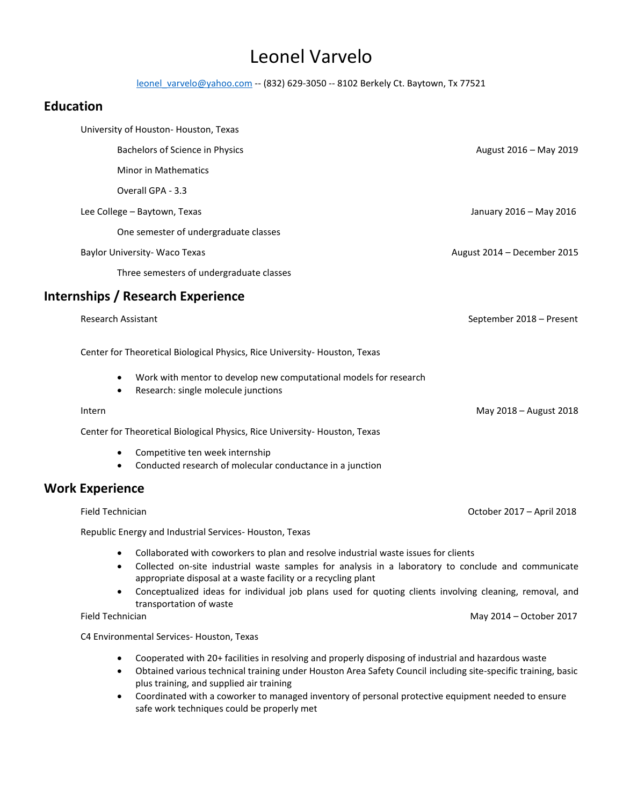# Leonel Varvelo

[leonel\\_varvelo@yahoo.com](mailto:leonel_varvelo@yahoo.com) -- (832) 629-3050 -- 8102 Berkely Ct. Baytown, Tx 77521

# **Education**

| University of Houston-Houston, Texas     |                             |
|------------------------------------------|-----------------------------|
| Bachelors of Science in Physics          | August 2016 - May 2019      |
| Minor in Mathematics                     |                             |
| Overall GPA - 3.3                        |                             |
| Lee College - Baytown, Texas             | January 2016 - May 2016     |
| One semester of undergraduate classes    |                             |
| Baylor University- Waco Texas            | August 2014 - December 2015 |
| Three semesters of undergraduate classes |                             |
| Internships / Research Experience        |                             |
| <b>Research Assistant</b>                | September 2018 - Present    |
|                                          |                             |

Center for Theoretical Biological Physics, Rice University- Houston, Texas

- Work with mentor to develop new computational models for research
- Research: single molecule junctions

#### Intern May 2018 – August 2018

Center for Theoretical Biological Physics, Rice University- Houston, Texas

- Competitive ten week internship
- Conducted research of molecular conductance in a junction

# **Work Experience**

Field Technician October 2017 – April 2018

Republic Energy and Industrial Services- Houston, Texas

- Collaborated with coworkers to plan and resolve industrial waste issues for clients
- Collected on-site industrial waste samples for analysis in a laboratory to conclude and communicate appropriate disposal at a waste facility or a recycling plant
- Conceptualized ideas for individual job plans used for quoting clients involving cleaning, removal, and transportation of waste

C4 Environmental Services- Houston, Texas

- Cooperated with 20+ facilities in resolving and properly disposing of industrial and hazardous waste
- Obtained various technical training under Houston Area Safety Council including site-specific training, basic plus training, and supplied air training
- Coordinated with a coworker to managed inventory of personal protective equipment needed to ensure safe work techniques could be properly met

Field Technician May 2014 – October 2017